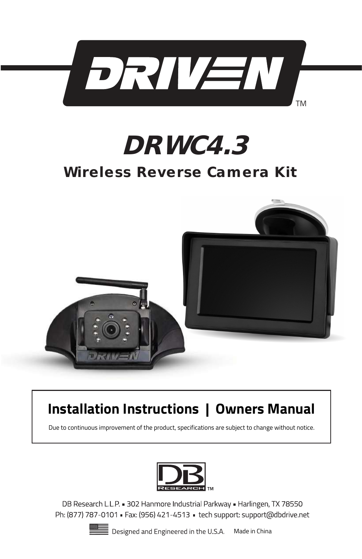



# Wireless Reverse Camera Kit



# **Installation Instructions | Owners Manual**

Due to continuous improvement of the product, specifications are subject to change without notice.



DB Research L.L.P. 302 Hanmore Industrial Parkway - Harlingen, TX 78550 Ph: (877) 787-0101 - Fax: (956) 421-4513 - tech support: support@dbdrive.net

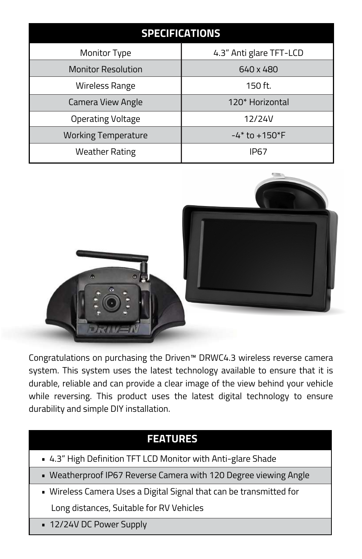| <b>SPECIFICATIONS</b>      |                         |
|----------------------------|-------------------------|
| Monitor Type               | 4.3" Anti glare TFT-LCD |
| <b>Monitor Resolution</b>  | 640 x 480               |
| Wireless Range             | 150 ft.                 |
| Camera View Angle          | 120* Horizontal         |
| Operating Voltage          | 12/24V                  |
| <b>Working Temperature</b> | $-4*$ to $+150*$ F      |
| <b>Weather Rating</b>      | IP67                    |



Congratulations on purchasing the Driven™ DRWC4.3 wireless reverse camera system. This system uses the latest technology available to ensure that it is durable, reliable and can provide a clear image of the view behind your vehicle while reversing. This product uses the latest digital technology to ensure durability and simple DIY installation.

#### **FEATURES**

- 4.3" High Definition TFT LCD Monitor with Anti-glare Shade
- Weatherproof IP67 Reverse Camera with 120 Degree viewing Angle
- Wireless Camera Uses a Digital Signal that can be transmitted for Long distances, Suitable for RV Vehicles
- 12/24V DC Power Supply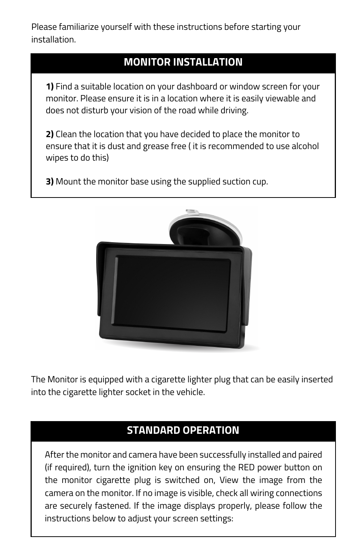Please familiarize yourself with these instructions before starting your installation.

#### **MONITOR INSTALLATION**

**1)** Find a suitable location on your dashboard or window screen for your monitor. Please ensure it is in a location where it is easily viewable and does not disturb your vision of the road while driving.

**2)** Clean the location that you have decided to place the monitor to ensure that it is dust and grease free ( it is recommended to use alcohol wipes to do this)

**3)** Mount the monitor base using the supplied suction cup.



The Monitor is equipped with a cigarette lighter plug that can be easily inserted into the cigarette lighter socket in the vehicle.

### **STANDARD OPERATION**

After the monitor and camera have been successfully installed and paired (if required), turn the ignition key on ensuring the RED power button on the monitor cigarette plug is switched on, View the image from the camera on the monitor. If no image is visible, check all wiring connections are securely fastened. If the image displays properly, please follow the instructions below to adjust your screen settings: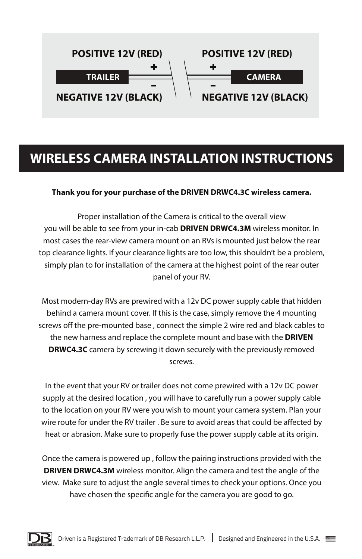

## **WIRELESS CAMERA INSTALLATION INSTRUCTIONS**

#### **Thank you for your purchase of the DRIVEN DRWC4.3C wireless camera.**

Proper installation of the Camera is critical to the overall view you will be able to see from your in-cab **DRIVEN DRWC4.3M** wireless monitor. In most cases the rear-view camera mount on an RVs is mounted just below the rear top clearance lights. If your clearance lights are too low, this shouldn't be a problem, simply plan to for installation of the camera at the highest point of the rear outer panel of your RV.

Most modern-day RVs are prewired with a 12v DC power supply cable that hidden behind a camera mount cover. If this is the case, simply remove the 4 mounting screws off the pre-mounted base, connect the simple 2 wire red and black cables to the new harness and replace the complete mount and base with the **DRIVEN DRWC4.3C** camera by screwing it down securely with the previously removed screws.

In the event that your RV or trailer does not come prewired with a 12v DC power supply at the desired location , you will have to carefully run a power supply cable to the location on your RV were you wish to mount your camera system. Plan your wire route for under the RV trailer . Be sure to avoid areas that could be affected by heat or abrasion. Make sure to properly fuse the power supply cable at its origin.

Once the camera is powered up , follow the pairing instructions provided with the **DRIVEN DRWC4.3M** wireless monitor. Align the camera and test the angle of the view. Make sure to adjust the angle several times to check your options. Once you have chosen the specific angle for the camera you are good to go.